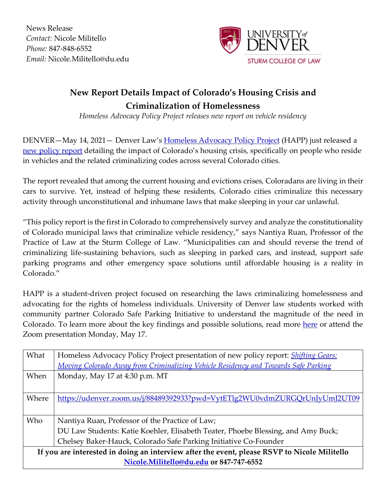News Release *Contact:* Nicole Militello *Phone:* 847-848-6552 *Email:* Nicole.Militello@du.edu



## **New Report Details Impact of Colorado's Housing Crisis and Criminalization of Homelessness**

*Homeless Advocacy Policy Project releases new report on vehicle residency*

DENVER—May 14, 2021— Denver Law's Homeless Advocacy Policy Project (HAPP) just released a new policy report detailing the impact of Colorado's housing crisis, specifically on people who reside in vehicles and the related criminalizing codes across several Colorado cities.

The report revealed that among the current housing and evictions crises, Coloradans are living in their cars to survive. Yet, instead of helping these residents, Colorado cities criminalize this necessary activity through unconstitutional and inhumane laws that make sleeping in your car unlawful.

"This policy report is the first in Colorado to comprehensively survey and analyze the constitutionality of Colorado municipal laws that criminalize vehicle residency," says Nantiya Ruan, Professor of the Practice of Law at the Sturm College of Law. "Municipalities can and should reverse the trend of criminalizing life-sustaining behaviors, such as sleeping in parked cars, and instead, support safe parking programs and other emergency space solutions until affordable housing is a reality in Colorado."

HAPP is a student-driven project focused on researching the laws criminalizing homelessness and advocating for the rights of homeless individuals. University of Denver law students worked with community partner Colorado Safe Parking Initiative to understand the magnitude of the need in Colorado. To learn more about the key findings and possible solutions, read more here or attend the Zoom presentation Monday, May 17.

| What                                                                                         | Homeless Advocacy Policy Project presentation of new policy report: <i>Shifting Gears:</i> |
|----------------------------------------------------------------------------------------------|--------------------------------------------------------------------------------------------|
|                                                                                              | Moving Colorado Away from Criminalizing Vehicle Residency and Towards Safe Parking         |
| When                                                                                         | Monday, May 17 at 4:30 p.m. MT                                                             |
|                                                                                              |                                                                                            |
| Where                                                                                        | https://udenver.zoom.us/j/88489392933?pwd=VytETlg2WU0vdmZURGQrUnJyUmJ2UT09                 |
|                                                                                              |                                                                                            |
| Who                                                                                          | Nantiya Ruan, Professor of the Practice of Law;                                            |
|                                                                                              | DU Law Students: Katie Koehler, Elisabeth Teater, Phoebe Blessing, and Amy Buck;           |
|                                                                                              | Chelsey Baker-Hauck, Colorado Safe Parking Initiative Co-Founder                           |
| If you are interested in doing an interview after the event, please RSVP to Nicole Militello |                                                                                            |
| Nicole.Militello@du.edu or 847-747-6552                                                      |                                                                                            |